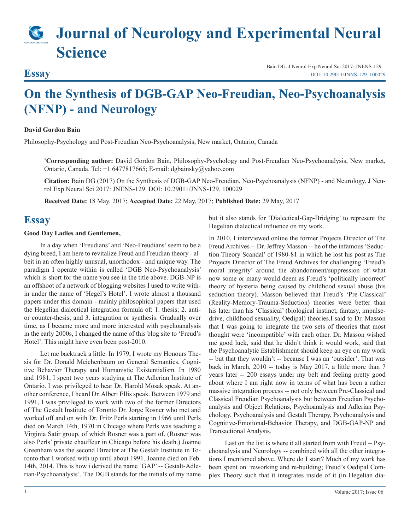# **Journal of Neurology and Experimental Neural Science**

## **Essay**

Bain DG. J Neurol Exp Neural Sci 2017: JNENS-129. [DOI: 10.29011/JNNS-129. 100029](http://doi.org/10.29011/JNNS-129. 100029)

## **On the Synthesis of DGB-GAP Neo-Freudian, Neo-Psychoanalysis (NFNP) - and Neurology**

## **David Gordon Bain**

Philosophy-Psychology and Post-Freudian Neo-Psychoanalysis, New market, Ontario, Canada

**\* Corresponding author:** David Gordon Bain, Philosophy-Psychology and Post-Freudian Neo-Psychoanalysis, New market, Ontario, Canada. Tel: +1 6477817665; E-mail: dgbainsky@yahoo.com

**Citation:** Bain DG (2017) On the Synthesis of DGB-GAP Neo-Freudian, Neo-Psychoanalysis (NFNP) - and Neurology. J Neurol Exp Neural Sci 2017: JNENS-129. DOI: 10.29011/JNNS-129. 100029

**Received Date:** 18 May, 2017; **Accepted Date:** 22 May, 2017; **Published Date:** 29 May, 2017

## **Essay**

#### **Good Day Ladies and Gentlemen,**

In a day when 'Freudians' and 'Neo-Freudians' seem to be a dying breed, I am here to revitalize Freud and Freudian theory - albeit in an often highly unusual, unorthodox - and unique way. The paradigm I operate within is called 'DGB Neo-Psychoanalysis' which is short for the name you see in the title above. DGB-NP is an offshoot of a network of blogging websites I used to write within under the name of 'Hegel's Hotel'. I wrote almost a thousand papers under this domain - mainly philosophical papers that used the Hegelian dialectical integration formula of: 1. thesis; 2. antior counter-thesis; and 3. integration or synthesis. Gradually over time, as I became more and more interested with psychoanalysis in the early 2000s, I changed the name of this blog site to 'Freud's Hotel'. This might have even been post-2010.

Let me backtrack a little. In 1979, I wrote my Honours Thesis for Dr. Donald Meichenbaum on General Semantics, Cognitive Behavior Therapy and Humanistic Existentialism. In 1980 and 1981, I spent two years studying at The Adlerian Institute of Ontario. I was privileged to hear Dr. Harold Mosak speak. At another conference, I heard Dr. Albert Ellis speak. Between 1979 and 1991, I was privileged to work with two of the former Directors of The Gestalt Institute of Toronto Dr. Jorge Rosner who met and worked off and on with Dr. Fritz Perls starting in 1966 until Perls died on March 14th, 1970 in Chicago where Perls was teaching a Virginia Satir group, of which Rosner was a part of. (Rosner was also Perls' private chauffeur in Chicago before his death.) Joanne Greenham was the second Director at The Gestalt Institute in Toronto that I worked with up until about 1991. Joanne died on Feb. 14th, 2014. This is how i derived the name 'GAP' -- Gestalt-Adlerian-Psychoanalysis'. The DGB stands for the initials of my name but it also stands for 'Dialectical-Gap-Bridging' to represent the Hegelian dialectical influence on my work.

In 2010, I interviewed online the former Projects Director of The Freud Archives -- Dr. Jeffrey Masson -- he of the infamous 'Seduction Theory Scandal' of 1980-81 in which he lost his post as The Projects Director of The Freud Archives for challenging 'Freud's moral integrity' around the abandonment/suppression of what now some or many would deem as Freud's 'politically incorrect' theory of hysteria being caused by childhood sexual abuse (his seduction theory). Masson believed that Freud's 'Pre-Classical' (Reality-Memory-Trauma-Seduction) theories were better than his later than his 'Classical' (biological instinct, fantasy, impulsedrive, childhood sexuality, Oedipal) theories.I said to Dr. Masson that I was going to integrate the two sets of theories that most thought were 'incompatible' with each other. Dr. Masson wished me good luck, said that he didn't think it would work, said that the Psychoanalytic Establishment should keep an eye on my work -- but that they wouldn't -- because I was an 'outsider'. That was back in March, 2010 -- today is May 2017, a little more than 7 years later -- 200 essays under my belt and feeling pretty good about where I am right now in terms of what has been a rather massive integration process -- not only between Pre-Classical and Classical Freudian Psychoanalysis but between Freudian Psychoanalysis and Object Relations, Psychoanalysis and Adlerian Psychology, Psychoanalysis and Gestalt Therapy, Psychoanalysis and Cognitive-Emotional-Behavior Therapy, and DGB-GAP-NP and Transactional Analysis.

Last on the list is where it all started from with Freud -- Psychoanalysis and Neurology -- combined with all the other integrations I mentioned above. Where do I start? Much of my work has been spent on 'reworking and re-building; Freud's Oedipal Complex Theory such that it integrates inside of it (in Hegelian dia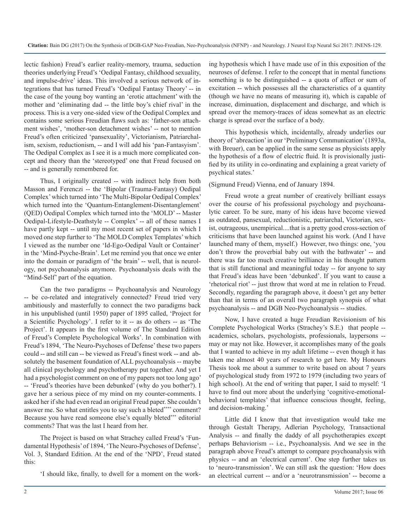lectic fashion) Freud's earlier reality-memory, trauma, seduction theories underlying Freud's 'Oedipal Fantasy, childhood sexuality, and impulse-drive' ideas. This involved a serious network of integrations that has turned Freud's 'Oedipal Fantasy Theory' -- in the case of the young boy wanting an 'erotic attachment' with the mother and 'eliminating dad -- the little boy's chief rival' in the process. This is a very one-sided view of the Oedipal Complex and contains some serious Freudian flaws such as: 'father-son attachment wishes', 'mother-son detachment wishes' -- not to mention Freud's often criticized 'pansexuality', Victorianism, Patriarchalism, sexism, reductionism, -- and I will add his 'pan-Fantasyism'. The Oedipal Complex as I see it is a much more complicated concept and theory than the 'stereotyped' one that Freud focused on -- and is generally remembered for.

Thus, I originally created -- with indirect help from both Masson and Ferenczi -- the 'Bipolar (Trauma-Fantasy) Oedipal Complex' which turned into 'The Multi-Bipolar Oedipal Complex' which turned into the 'Quantum-Entanglement-Disentanglement' (QED) Oedipal Complex which turned into the 'MOLD' -- Master Oedipal-Lifestyle-Deathstyle -- Complex' -- all of these names I have partly kept -- until my most recent set of papers in which I moved one step further to 'The MOLD Complex Templates' which I viewed as the number one 'Id-Ego-Oedipal Vault or Container' in the 'Mind-Psyche-Brain'. Let me remind you that once we enter into the domain or paradigm of 'the brain' -- well, that is neurology, not psychoanalysis anymore. Psychoanalysis deals with the "Mind-Self' part of the equation.

Can the two paradigms -- Psychoanalysis and Neurology -- be co-related and integratively connected? Freud tried very ambitiously and masterfully to connect the two paradigms back in his unpublished (until 1950) paper of 1895 called, 'Project for a Scientific Psychology'. I refer to it -- as do others -- as 'The Project'. It appears in the first volume of The Standard Edition of Freud's Complete Psychological Works'. In combination with Freud's 1894, 'The Neuro-Psychoses of Defense' these two papers could -- and still can -- be viewed as Freud's finest work -- and absolutely the basement foundation of ALL psychoanalysis -- maybe all clinical psychology and psychotherapy put together. And yet I had a psychologist comment on one of my papers not too long ago' -- 'Freud's theories have been debunked' (why do you bother?). I gave her a serious piece of my mind on my counter-comments. I asked her if she had even read an original Freud paper. She couldn't answer me. So what entitles you to say such a bleted\*\*\*\* comment? Because you have read someone else's equally bleted\*\*\* editorial comments? That was the last I heard from her.

The Project is based on what Strachey called Freud's 'Fundamental Hypothesis' of 1894, 'The Neuro-Psychoses of Defense', Vol. 3, Standard Edition. At the end of the 'NPD', Freud stated this:

'I should like, finally, to dwell for a moment on the work-

ing hypothesis which I have made use of in this exposition of the neuroses of defense. I refer to the concept that in mental functions something is to be distinguished -- a quota of affect or sum of excitation -- which possesses all the characteristics of a quantity (though we have no means of measuring it), which is capable of increase, diminuation, displacement and discharge, and which is spread over the memory-traces of ideas somewhat as an electric charge is spread over the surface of a body.

This hypothesis which, incidentally, already underlies our theory of 'abreaction' in our 'Preliminary Communication' (1893a, with Breuer), can be applied in the same sense as physicists apply the hypothesis of a flow of electric fluid. It is provisionally justified by its utility in co-ordinating and explaining a great variety of psychical states.'

### (Sigmund Freud) Vienna, end of January 1894.

Freud wrote a great number of creatively brilliant essays over the course of his professional psychology and psychoanalytic career. To be sure, many of his ideas have become viewed as outdated, pansexual, reductionistic, patriarchal, Victorian, sexist, outrageous, unempirical....that is a pretty good cross-section of criticisms that have been launched against his work. (And I have launched many of them, myself.) However, two things: one, 'you don't throw the proverbial baby out with the bathwater' -- and there was far too much creative brilliance in his thought pattern that is still functional and meaningful today -- for anyone to say that Freud's ideas have been 'debunked'. If you want to cause a 'rhetorical riot' -- just throw that word at me in relation to Freud. Secondly, regarding the paragraph above, it doesn't get any better than that in terms of an overall two paragraph synopsis of what psychoanalysis -- and DGB Neo-Psychoanalysis -- studies.

Now, I have created a huge Freudian Revisionism of his Complete Psychological Works (Strachey's S.E.) that people - academics, scholars, psychologists, professionals, laypersons - may or may not like. However, it accomplishes many of the goals that I wanted to achieve in my adult lifetime -- even though it has taken me almost 40 years of research to get here. My Honours Thesis took me about a summer to write based on about 7 years of psychological study from 1972 to 1979 (including two years of high school). At the end of writing that paper, I said to myself: 'I have to find out more about the underlying 'cognitive-emotionalbehavioral templates' that influence conscious thought, feeling, and decision-making.'

Little did I know that that investigation would take me through Gestalt Therapy, Adlerian Psychology, Transactional Analysis -- and finally the daddy of all psychotherapies except perhaps Behaviorism -- i.e., Psychoanalysis. And we see in the paragraph above Freud's attempt to compare psychoanalysis with physics -- and an 'electrical current'. One step further takes us to 'neuro-transmission'. We can still ask the question: 'How does an electrical current -- and/or a 'neurotransmission' -- become a